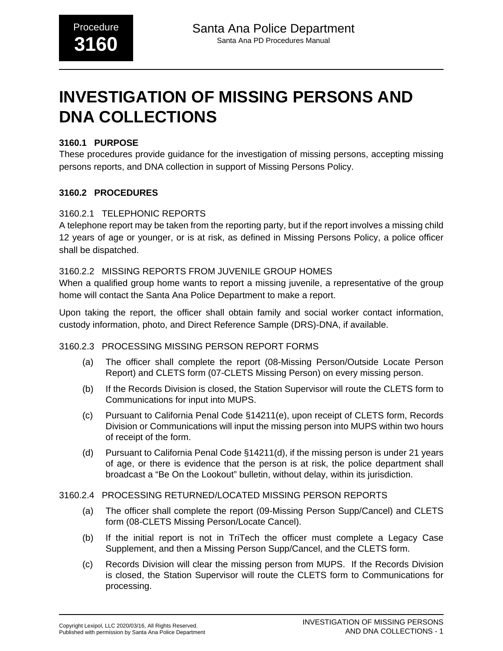# **INVESTIGATION OF MISSING PERSONS AND DNA COLLECTIONS**

#### **3160.1 PURPOSE**

These procedures provide guidance for the investigation of missing persons, accepting missing persons reports, and DNA collection in support of Missing Persons Policy.

#### **3160.2 PROCEDURES**

#### 3160.2.1 TELEPHONIC REPORTS

A telephone report may be taken from the reporting party, but if the report involves a missing child 12 years of age or younger, or is at risk, as defined in Missing Persons Policy, a police officer shall be dispatched.

#### 3160.2.2 MISSING REPORTS FROM JUVENILE GROUP HOMES

When a qualified group home wants to report a missing juvenile, a representative of the group home will contact the Santa Ana Police Department to make a report.

Upon taking the report, the officer shall obtain family and social worker contact information, custody information, photo, and Direct Reference Sample (DRS)-DNA, if available.

#### 3160.2.3 PROCESSING MISSING PERSON REPORT FORMS

- (a) The officer shall complete the report (08-Missing Person/Outside Locate Person Report) and CLETS form (07-CLETS Missing Person) on every missing person.
- (b) If the Records Division is closed, the Station Supervisor will route the CLETS form to Communications for input into MUPS.
- (c) Pursuant to California Penal Code §14211(e), upon receipt of CLETS form, Records Division or Communications will input the missing person into MUPS within two hours of receipt of the form.
- (d) Pursuant to California Penal Code §14211(d), if the missing person is under 21 years of age, or there is evidence that the person is at risk, the police department shall broadcast a "Be On the Lookout" bulletin, without delay, within its jurisdiction.

#### 3160.2.4 PROCESSING RETURNED/LOCATED MISSING PERSON REPORTS

- (a) The officer shall complete the report (09-Missing Person Supp/Cancel) and CLETS form (08-CLETS Missing Person/Locate Cancel).
- (b) If the initial report is not in TriTech the officer must complete a Legacy Case Supplement, and then a Missing Person Supp/Cancel, and the CLETS form.
- (c) Records Division will clear the missing person from MUPS. If the Records Division is closed, the Station Supervisor will route the CLETS form to Communications for processing.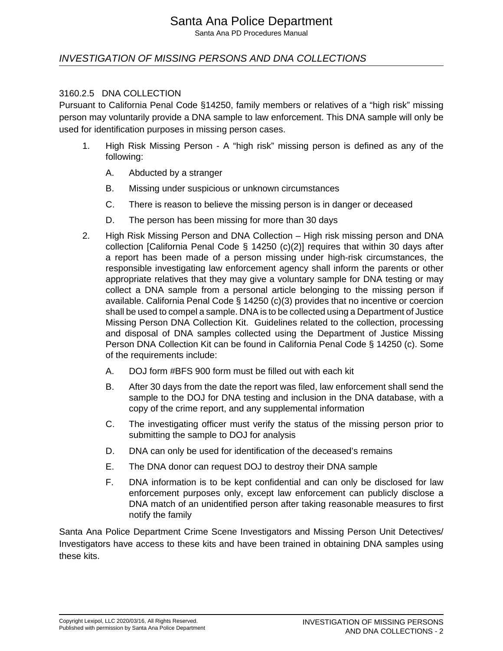# Santa Ana Police Department

Santa Ana PD Procedures Manual

## INVESTIGATION OF MISSING PERSONS AND DNA COLLECTIONS

#### 3160.2.5 DNA COLLECTION

Pursuant to California Penal Code §14250, family members or relatives of a "high risk" missing person may voluntarily provide a DNA sample to law enforcement. This DNA sample will only be used for identification purposes in missing person cases.

- 1. High Risk Missing Person A "high risk" missing person is defined as any of the following:
	- A. Abducted by a stranger
	- B. Missing under suspicious or unknown circumstances
	- C. There is reason to believe the missing person is in danger or deceased
	- D. The person has been missing for more than 30 days
- 2. High Risk Missing Person and DNA Collection High risk missing person and DNA collection [California Penal Code  $\S$  14250 (c)(2)] requires that within 30 days after a report has been made of a person missing under high-risk circumstances, the responsible investigating law enforcement agency shall inform the parents or other appropriate relatives that they may give a voluntary sample for DNA testing or may collect a DNA sample from a personal article belonging to the missing person if available. California Penal Code § 14250 (c)(3) provides that no incentive or coercion shall be used to compel a sample. DNA is to be collected using a Department of Justice Missing Person DNA Collection Kit. Guidelines related to the collection, processing and disposal of DNA samples collected using the Department of Justice Missing Person DNA Collection Kit can be found in California Penal Code § 14250 (c). Some of the requirements include:
	- A. DOJ form #BFS 900 form must be filled out with each kit
	- B. After 30 days from the date the report was filed, law enforcement shall send the sample to the DOJ for DNA testing and inclusion in the DNA database, with a copy of the crime report, and any supplemental information
	- C. The investigating officer must verify the status of the missing person prior to submitting the sample to DOJ for analysis
	- D. DNA can only be used for identification of the deceased's remains
	- E. The DNA donor can request DOJ to destroy their DNA sample
	- F. DNA information is to be kept confidential and can only be disclosed for law enforcement purposes only, except law enforcement can publicly disclose a DNA match of an unidentified person after taking reasonable measures to first notify the family

Santa Ana Police Department Crime Scene Investigators and Missing Person Unit Detectives/ Investigators have access to these kits and have been trained in obtaining DNA samples using these kits.